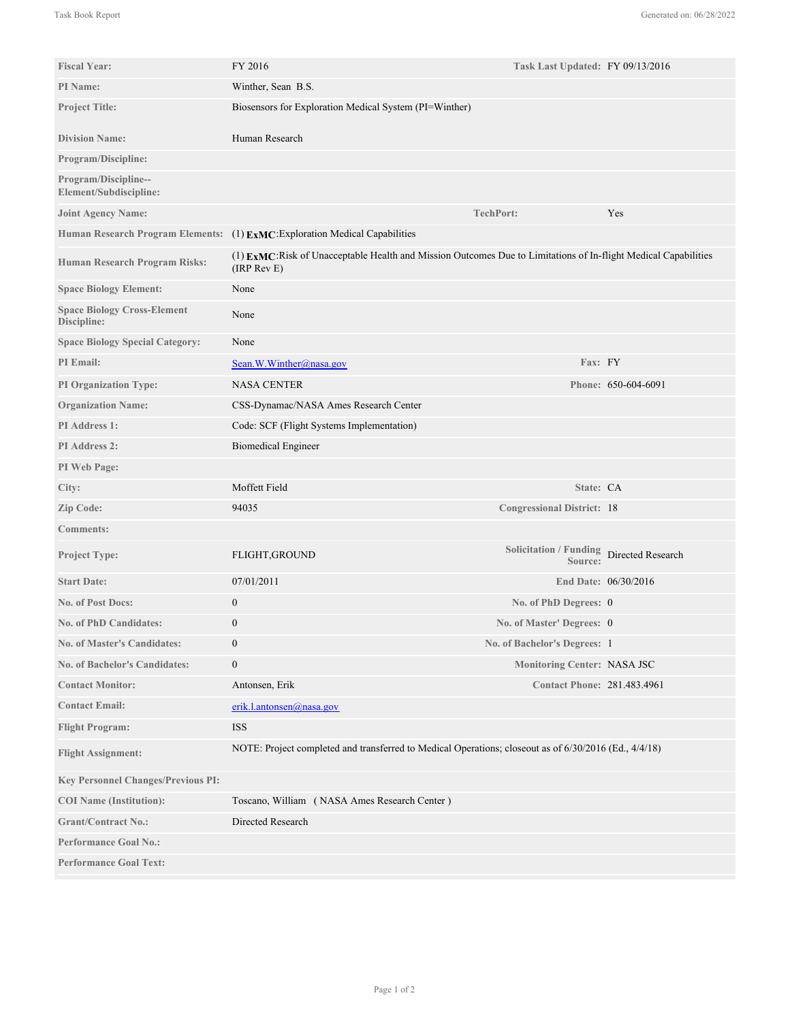| <b>Fiscal Year:</b>                               | FY 2016                                                                                                                            | Task Last Updated: FY 09/13/2016                    |                      |
|---------------------------------------------------|------------------------------------------------------------------------------------------------------------------------------------|-----------------------------------------------------|----------------------|
| PI Name:                                          | Winther, Sean B.S.                                                                                                                 |                                                     |                      |
| <b>Project Title:</b>                             | Biosensors for Exploration Medical System (PI=Winther)                                                                             |                                                     |                      |
| <b>Division Name:</b>                             | Human Research                                                                                                                     |                                                     |                      |
| Program/Discipline:                               |                                                                                                                                    |                                                     |                      |
| Program/Discipline--<br>Element/Subdiscipline:    |                                                                                                                                    |                                                     |                      |
| <b>Joint Agency Name:</b>                         |                                                                                                                                    | <b>TechPort:</b>                                    | Yes                  |
|                                                   | Human Research Program Elements: (1) ExMC: Exploration Medical Capabilities                                                        |                                                     |                      |
| <b>Human Research Program Risks:</b>              | (1) EXMC: Risk of Unacceptable Health and Mission Outcomes Due to Limitations of In-flight Medical Capabilities<br>$(IRP$ Rev $E)$ |                                                     |                      |
| <b>Space Biology Element:</b>                     | None                                                                                                                               |                                                     |                      |
| <b>Space Biology Cross-Element</b><br>Discipline: | None                                                                                                                               |                                                     |                      |
| <b>Space Biology Special Category:</b>            | None                                                                                                                               |                                                     |                      |
| PI Email:                                         | Sean.W.Winther@nasa.gov                                                                                                            | Fax: FY                                             |                      |
| <b>PI Organization Type:</b>                      | <b>NASA CENTER</b>                                                                                                                 |                                                     | Phone: 650-604-6091  |
| <b>Organization Name:</b>                         | CSS-Dynamac/NASA Ames Research Center                                                                                              |                                                     |                      |
| PI Address 1:                                     | Code: SCF (Flight Systems Implementation)                                                                                          |                                                     |                      |
| PI Address 2:                                     | <b>Biomedical Engineer</b>                                                                                                         |                                                     |                      |
| PI Web Page:                                      |                                                                                                                                    |                                                     |                      |
| City:                                             | Moffett Field                                                                                                                      | State: CA                                           |                      |
| Zip Code:                                         | 94035                                                                                                                              | <b>Congressional District: 18</b>                   |                      |
| <b>Comments:</b>                                  |                                                                                                                                    |                                                     |                      |
| <b>Project Type:</b>                              | FLIGHT, GROUND                                                                                                                     | Solicitation / Funding Directed Research<br>Source: |                      |
| <b>Start Date:</b>                                | 07/01/2011                                                                                                                         |                                                     | End Date: 06/30/2016 |
| <b>No. of Post Docs:</b>                          | $\boldsymbol{0}$                                                                                                                   | No. of PhD Degrees: 0                               |                      |
| <b>No. of PhD Candidates:</b>                     | $\boldsymbol{0}$                                                                                                                   | No. of Master' Degrees: 0                           |                      |
| <b>No. of Master's Candidates:</b>                | $\boldsymbol{0}$                                                                                                                   | No. of Bachelor's Degrees: 1                        |                      |
| <b>No. of Bachelor's Candidates:</b>              | $\boldsymbol{0}$                                                                                                                   | <b>Monitoring Center: NASA JSC</b>                  |                      |
| <b>Contact Monitor:</b>                           | Antonsen, Erik                                                                                                                     | <b>Contact Phone: 281.483.4961</b>                  |                      |
| <b>Contact Email:</b>                             | erik.l.antonsen@nasa.gov                                                                                                           |                                                     |                      |
| <b>Flight Program:</b>                            | <b>ISS</b>                                                                                                                         |                                                     |                      |
| <b>Flight Assignment:</b>                         | NOTE: Project completed and transferred to Medical Operations; closeout as of 6/30/2016 (Ed., 4/4/18)                              |                                                     |                      |
| <b>Key Personnel Changes/Previous PI:</b>         |                                                                                                                                    |                                                     |                      |
| <b>COI</b> Name (Institution):                    | Toscano, William (NASA Ames Research Center)                                                                                       |                                                     |                      |
| <b>Grant/Contract No.:</b>                        | Directed Research                                                                                                                  |                                                     |                      |
| <b>Performance Goal No.:</b>                      |                                                                                                                                    |                                                     |                      |
| <b>Performance Goal Text:</b>                     |                                                                                                                                    |                                                     |                      |
|                                                   |                                                                                                                                    |                                                     |                      |